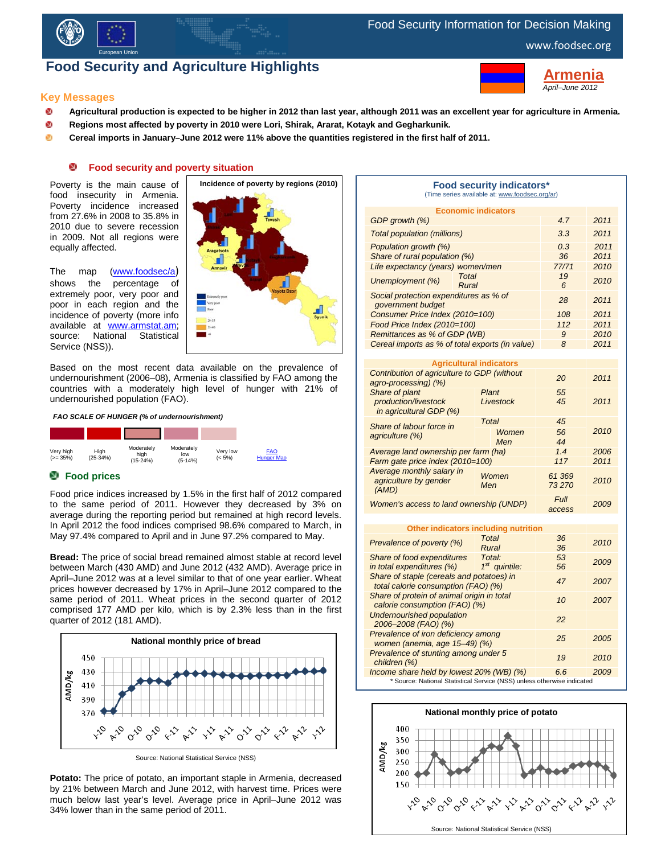

# Food Security Information for Decision Making

# **Food Security and Agriculture Highlights**



**rmenia**  *April–June 2012*

### **Key Messages**

- ø **Agricultural production is expected to be higher in 2012 than last year, although 2011 was an excellent year for agriculture in Armenia.**
- ø **Regions most affected by poverty in 2010 were Lori, Shirak, Ararat, Kotayk and Gegharkunik.**
- ø **Cereal imports in January–June 2012 were 11% above the quantities registered in the first half of 2011.**

#### o **Food security and poverty situation**

Poverty is the main cause of food insecurity in Armenia. Poverty incidence increased from 27.6% in 2008 to 35.8% in 2010 due to severe recession in 2009. Not all regions were equally affected.

The map [\(www.foodsec/a](http://typo3.fao.org/fileadmin/user_upload/eufao-fsi4dm/docs/Armenia_New_ESRI_ArcMap_Document_01.pdf)) shows the percentage of extremely poor, very poor and poor in each region and the incidence of poverty (more info available at **www.armstat.am;**<br>source: National Statistical source: National Service (NSS)).



Based on the most recent data available on the prevalence of undernourishment (2006–08), Armenia is classified by FAO among the countries with a moderately high level of hunger with 21% of undernourished population (FAO).





# **Food prices**

Food price indices increased by 1.5% in the first half of 2012 compared to the same period of 2011. However they decreased by 3% on average during the reporting period but remained at high record levels. In April 2012 the food indices comprised 98.6% compared to March, in May 97.4% compared to April and in June 97.2% compared to May.

**Bread:** The price of social bread remained almost stable at record level between March (430 AMD) and June 2012 (432 AMD). Average price in April–June 2012 was at a level similar to that of one year earlier. Wheat prices however decreased by 17% in April–June 2012 compared to the same period of 2011. Wheat prices in the second quarter of 2012 comprised 177 AMD per kilo, which is by 2.3% less than in the first quarter of 2012 (181 AMD).



Source: National Statistical Service (NSS)

**Potato:** The price of potato, an important staple in Armenia, decreased by 21% between March and June 2012, with harvest time. Prices were much below last year's level. Average price in April–June 2012 was 34% lower than in the same period of 2011.

| <b>Food security indicators*</b><br>(Time series available at: www.foodsec.org/ar) |                            |                 |      |  |  |  |  |
|------------------------------------------------------------------------------------|----------------------------|-----------------|------|--|--|--|--|
|                                                                                    | <b>Economic indicators</b> |                 |      |  |  |  |  |
| GDP growth (%)                                                                     | 4.7                        | 2011            |      |  |  |  |  |
| Total population (millions)                                                        | 3.3                        | 2011            |      |  |  |  |  |
| Population growth (%)                                                              | 0.3                        | 2011            |      |  |  |  |  |
| Share of rural population (%)                                                      | 36                         | 2011            |      |  |  |  |  |
| Life expectancy (years) women/men                                                  | 77/71                      | 2010            |      |  |  |  |  |
| <b>Total</b><br>Unemployment (%)<br>Rural                                          |                            | 19<br>6         | 2010 |  |  |  |  |
| Social protection expenditures as % of<br>government budget                        | 28                         | 2011            |      |  |  |  |  |
| Consumer Price Index (2010=100)                                                    | 108                        | 2011            |      |  |  |  |  |
| Food Price Index (2010=100)                                                        |                            | 112             | 2011 |  |  |  |  |
| Remittances as % of GDP (WB)                                                       |                            | 9               | 2010 |  |  |  |  |
| Cereal imports as % of total exports (in value)                                    | 8                          | 2011            |      |  |  |  |  |
|                                                                                    |                            |                 |      |  |  |  |  |
| <b>Agricultural indicators</b>                                                     |                            |                 |      |  |  |  |  |
| Contribution of agriculture to GDP (without<br>agro-processing) (%)                | 20                         | 2011            |      |  |  |  |  |
| Share of plant<br>production/livestock<br>in agricultural GDP (%)                  | Plant<br>Livestock         | 55<br>45        | 2011 |  |  |  |  |
| Share of labour force in<br>agriculture (%)                                        | Total                      | 45              |      |  |  |  |  |
|                                                                                    | Women<br>Men               | 56<br>44        | 2010 |  |  |  |  |
| Average land ownership per farm (ha)                                               | 1.4                        | 2006            |      |  |  |  |  |
| Farm gate price index (2010=100)                                                   | 117                        | 2011            |      |  |  |  |  |
| Average monthly salary in<br>agriculture by gender<br>(AMD)                        | Women<br>Men               | 61 369<br>73270 | 2010 |  |  |  |  |

*Women's access to land ownership (UNDP) Full access <sup>2009</sup>*

| Other indicators including nutrition                                             |                           |          |      |  |  |
|----------------------------------------------------------------------------------|---------------------------|----------|------|--|--|
| Total<br>Prevalence of poverty (%)<br>Rural                                      |                           | 36<br>36 | 2010 |  |  |
| Share of food expenditures<br>in total expenditures (%)                          | Total:<br>$1st$ quintile: | 53<br>56 | 2009 |  |  |
| Share of staple (cereals and potatoes) in<br>total calorie consumption (FAO) (%) |                           | 47       | 2007 |  |  |
| Share of protein of animal origin in total<br>calorie consumption (FAO) (%)      |                           | 10       | 2007 |  |  |
| <b>Undernourished population</b><br>2006-2008 (FAO) (%)                          | 22                        |          |      |  |  |
| Prevalence of iron deficiency among<br>women (anemia, age 15-49) (%)             | 25                        | 2005     |      |  |  |
| Prevalence of stunting among under 5<br>children (%)                             | 19                        | 2010     |      |  |  |
| Income share held by lowest 20% (WB) (%)                                         | 6.6                       | 2009     |      |  |  |
| * Source: National Statistical Service (NSS) unless otherwise indicated          |                           |          |      |  |  |